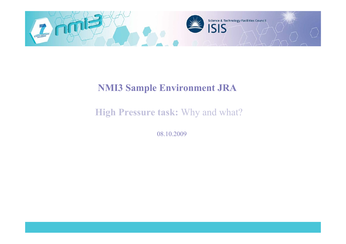

### **NMI3 Sample Environment JRA**

## **High Pressure task:** Why and what?

08.10.2009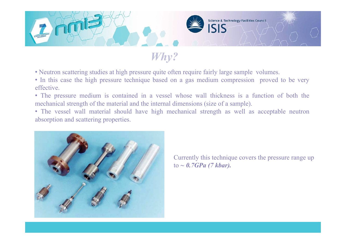

## *Why?*

- Neutron scattering studies at high pressure quite often require fairly large sample volumes.
- In this case the high pressure technique based on a gas medium compression proved to be very effective.
- The pressure medium is contained in a vessel whose wall thickness is a function of both the mechanical strength of the material and the internal dimensions (size of a sample).
- The vessel wall material should have high mechanical strength as well as acceptable neutron absorption and scattering properties.



Currently this technique covers the pressure range up to *~ 0.7GPa (7 kbar).*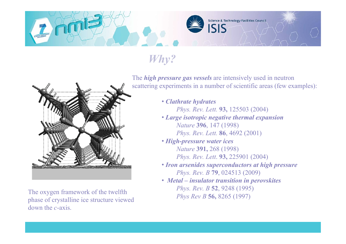# *Why?*

The oxygen framework of the twelfth phase of crystalline ice structure viewed down the *c*-axis.

The *high pressure gas vessels* are intensively used in neutron scattering experiments in a number of scientific areas (few examples):

ISIS

Science & Technology Facilities Council

• *Clathrate hydrates Phys. Rev. Lett.* **93,** 125503 (2004)

- *Large isotropic negative thermal expansion Nature* **396**, 147 (1998) *Phys. Rev. Lett.* **86**, 4692 (2001)
- *High-pressure water ices Nature* **391,** 268 (1998)
	- *Phys. Rev. Lett*. **93,** 225901 (2004)
- *Iron arsenides superconductors at high pressure Phys. Rev. B* **79**, 024513 (2009)
- • *Metal insulator transition in perovskites Phys. Rev. B* **52**, 9248 (1995) *Phys Rev B* **56,** 8265 (1997)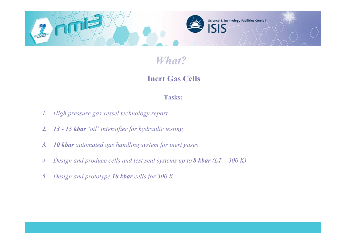

## *What?*

### **Inert Gas Cells**

#### **Tasks:**

- *1. High pressure gas vessel technology report*
- *2. 13 15 kbar 'oil' intensifier for hydraulic testing*
- *3. 10 kbar automated gas handling system for inert gases*
- *4. Design and produce cells and test seal systems up to 8 kbar (LT 300 K)*
- *5. Design and prototype 10 kbar cells for 300 K*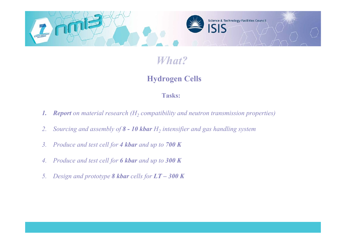

## *What?*

### **Hydrogen Cells**

#### **Tasks:**

- **1.** *Report on material research* (*H<sub>2</sub> compatibility and neutron transmission properties*)
- 2. *Sourcing and assembly of 8 10 kbar*  $H_2$  intensifier and gas handling system
- *3. Produce and test cell for 4 kbar and up to 700 K*
- *4. Produce and test cell for 6 kbar and up to 300 K*
- *5. Design and prototype 8 kbar cells for LT 300 K*